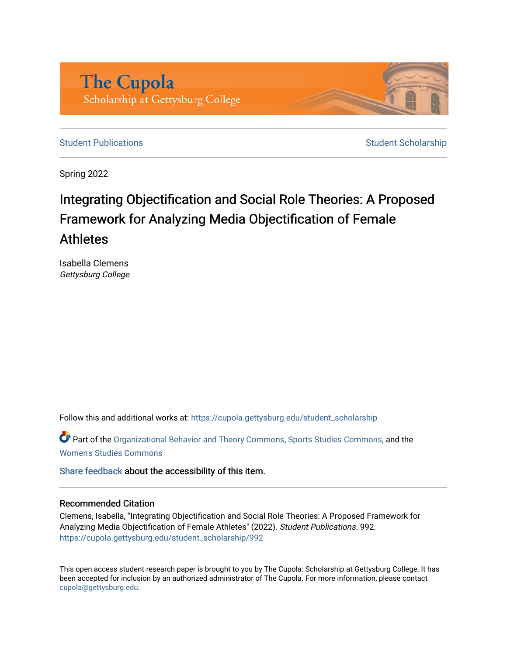

[Student Publications](https://cupola.gettysburg.edu/student_scholarship) **Student Scholarship** Student Scholarship

Spring 2022

# Integrating Objectification and Social Role Theories: A Proposed Framework for Analyzing Media Objectification of Female Athletes

Isabella Clemens Gettysburg College

Follow this and additional works at: [https://cupola.gettysburg.edu/student\\_scholarship](https://cupola.gettysburg.edu/student_scholarship?utm_source=cupola.gettysburg.edu%2Fstudent_scholarship%2F992&utm_medium=PDF&utm_campaign=PDFCoverPages) 

Part of the [Organizational Behavior and Theory Commons,](https://network.bepress.com/hgg/discipline/639?utm_source=cupola.gettysburg.edu%2Fstudent_scholarship%2F992&utm_medium=PDF&utm_campaign=PDFCoverPages) [Sports Studies Commons,](https://network.bepress.com/hgg/discipline/1198?utm_source=cupola.gettysburg.edu%2Fstudent_scholarship%2F992&utm_medium=PDF&utm_campaign=PDFCoverPages) and the [Women's Studies Commons](https://network.bepress.com/hgg/discipline/561?utm_source=cupola.gettysburg.edu%2Fstudent_scholarship%2F992&utm_medium=PDF&utm_campaign=PDFCoverPages)

[Share feedback](https://docs.google.com/a/bepress.com/forms/d/1h9eEcpBPj5POs5oO6Y5A0blXRmZqykoonyYiZUNyEq8/viewform) about the accessibility of this item.

#### Recommended Citation

Clemens, Isabella, "Integrating Objectification and Social Role Theories: A Proposed Framework for Analyzing Media Objectification of Female Athletes" (2022). Student Publications. 992. [https://cupola.gettysburg.edu/student\\_scholarship/992](https://cupola.gettysburg.edu/student_scholarship/992?utm_source=cupola.gettysburg.edu%2Fstudent_scholarship%2F992&utm_medium=PDF&utm_campaign=PDFCoverPages)

This open access student research paper is brought to you by The Cupola: Scholarship at Gettysburg College. It has been accepted for inclusion by an authorized administrator of The Cupola. For more information, please contact [cupola@gettysburg.edu.](mailto:cupola@gettysburg.edu)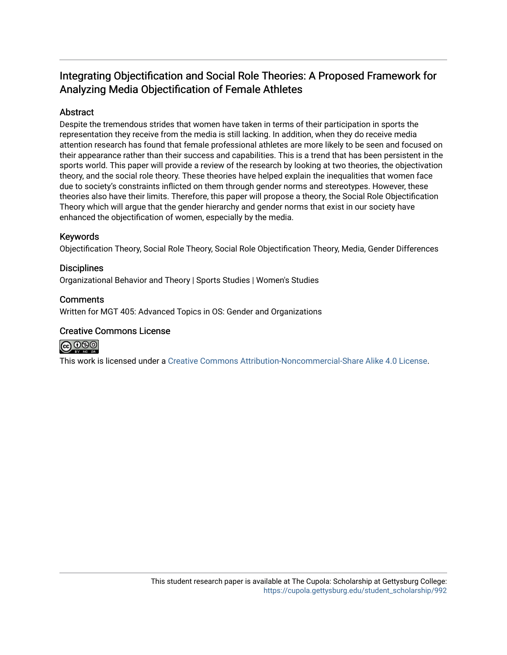# Integrating Objectification and Social Role Theories: A Proposed Framework for Analyzing Media Objectification of Female Athletes

# Abstract

Despite the tremendous strides that women have taken in terms of their participation in sports the representation they receive from the media is still lacking. In addition, when they do receive media attention research has found that female professional athletes are more likely to be seen and focused on their appearance rather than their success and capabilities. This is a trend that has been persistent in the sports world. This paper will provide a review of the research by looking at two theories, the objectivation theory, and the social role theory. These theories have helped explain the inequalities that women face due to society's constraints inflicted on them through gender norms and stereotypes. However, these theories also have their limits. Therefore, this paper will propose a theory, the Social Role Objectification Theory which will argue that the gender hierarchy and gender norms that exist in our society have enhanced the objectification of women, especially by the media.

# Keywords

Objectification Theory, Social Role Theory, Social Role Objectification Theory, Media, Gender Differences

# **Disciplines**

Organizational Behavior and Theory | Sports Studies | Women's Studies

# **Comments**

Written for MGT 405: Advanced Topics in OS: Gender and Organizations

#### Creative Commons License



This work is licensed under a [Creative Commons Attribution-Noncommercial-Share Alike 4.0 License](https://creativecommons.org/licenses/by-nc-sa/4.0/).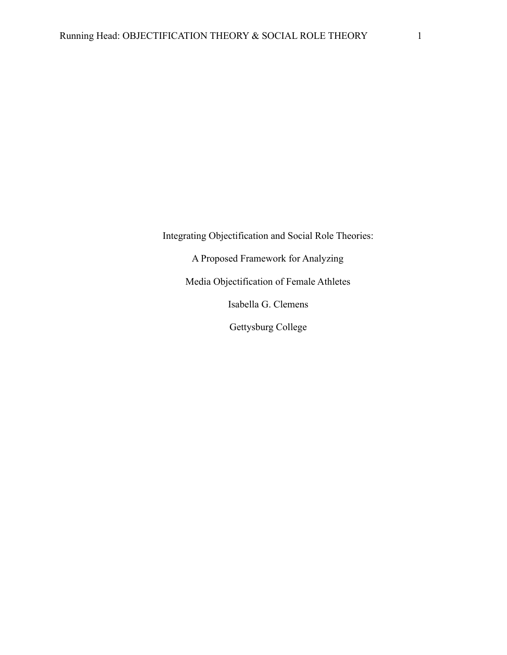Integrating Objectification and Social Role Theories:

A Proposed Framework for Analyzing

Media Objectification of Female Athletes

Isabella G. Clemens

Gettysburg College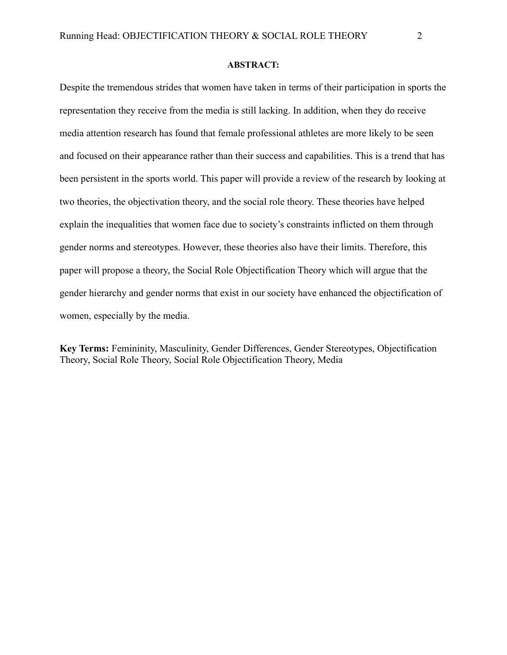#### **ABSTRACT:**

Despite the tremendous strides that women have taken in terms of their participation in sports the representation they receive from the media is still lacking. In addition, when they do receive media attention research has found that female professional athletes are more likely to be seen and focused on their appearance rather than their success and capabilities. This is a trend that has been persistent in the sports world. This paper will provide a review of the research by looking at two theories, the objectivation theory, and the social role theory. These theories have helped explain the inequalities that women face due to society's constraints inflicted on them through gender norms and stereotypes. However, these theories also have their limits. Therefore, this paper will propose a theory, the Social Role Objectification Theory which will argue that the gender hierarchy and gender norms that exist in our society have enhanced the objectification of women, especially by the media.

**Key Terms:** Femininity, Masculinity, Gender Differences, Gender Stereotypes, Objectification Theory, Social Role Theory, Social Role Objectification Theory, Media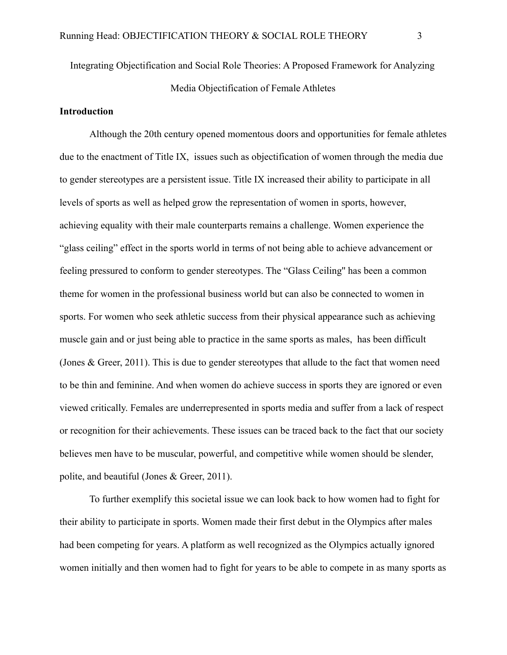Integrating Objectification and Social Role Theories: A Proposed Framework for Analyzing Media Objectification of Female Athletes

#### **Introduction**

Although the 20th century opened momentous doors and opportunities for female athletes due to the enactment of Title IX, issues such as objectification of women through the media due to gender stereotypes are a persistent issue. Title IX increased their ability to participate in all levels of sports as well as helped grow the representation of women in sports, however, achieving equality with their male counterparts remains a challenge. Women experience the "glass ceiling" effect in the sports world in terms of not being able to achieve advancement or feeling pressured to conform to gender stereotypes. The "Glass Ceiling'' has been a common theme for women in the professional business world but can also be connected to women in sports. For women who seek athletic success from their physical appearance such as achieving muscle gain and or just being able to practice in the same sports as males, has been difficult (Jones & Greer, 2011). This is due to gender stereotypes that allude to the fact that women need to be thin and feminine. And when women do achieve success in sports they are ignored or even viewed critically. Females are underrepresented in sports media and suffer from a lack of respect or recognition for their achievements. These issues can be traced back to the fact that our society believes men have to be muscular, powerful, and competitive while women should be slender, polite, and beautiful (Jones & Greer, 2011).

To further exemplify this societal issue we can look back to how women had to fight for their ability to participate in sports. Women made their first debut in the Olympics after males had been competing for years. A platform as well recognized as the Olympics actually ignored women initially and then women had to fight for years to be able to compete in as many sports as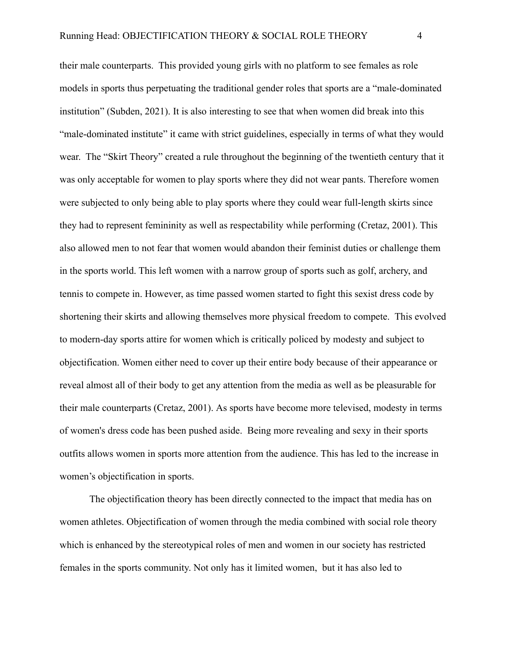their male counterparts. This provided young girls with no platform to see females as role models in sports thus perpetuating the traditional gender roles that sports are a "male-dominated institution" (Subden, 2021). It is also interesting to see that when women did break into this "male-dominated institute" it came with strict guidelines, especially in terms of what they would wear. The "Skirt Theory" created a rule throughout the beginning of the twentieth century that it was only acceptable for women to play sports where they did not wear pants. Therefore women were subjected to only being able to play sports where they could wear full-length skirts since they had to represent femininity as well as respectability while performing (Cretaz, 2001). This also allowed men to not fear that women would abandon their feminist duties or challenge them in the sports world. This left women with a narrow group of sports such as golf, archery, and tennis to compete in. However, as time passed women started to fight this sexist dress code by shortening their skirts and allowing themselves more physical freedom to compete. This evolved to modern-day sports attire for women which is critically policed by modesty and subject to objectification. Women either need to cover up their entire body because of their appearance or reveal almost all of their body to get any attention from the media as well as be pleasurable for their male counterparts (Cretaz, 2001). As sports have become more televised, modesty in terms of women's dress code has been pushed aside. Being more revealing and sexy in their sports outfits allows women in sports more attention from the audience. This has led to the increase in women's objectification in sports.

The objectification theory has been directly connected to the impact that media has on women athletes. Objectification of women through the media combined with social role theory which is enhanced by the stereotypical roles of men and women in our society has restricted females in the sports community. Not only has it limited women, but it has also led to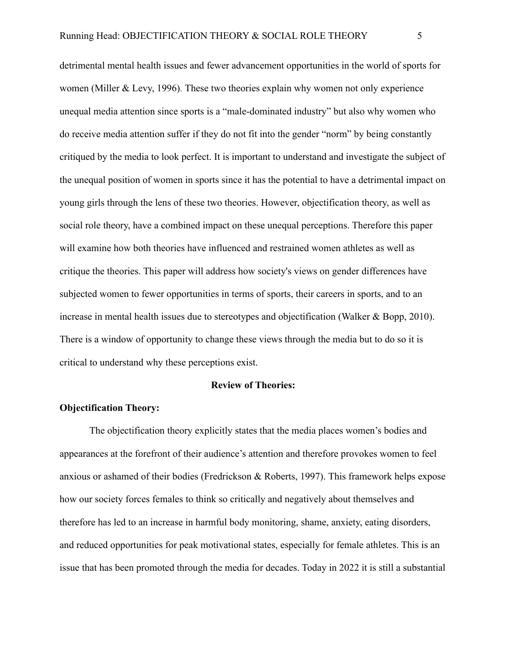detrimental mental health issues and fewer advancement opportunities in the world of sports for women (Miller & Levy, 1996). These two theories explain why women not only experience unequal media attention since sports is a "male-dominated industry" but also why women who do receive media attention suffer if they do not fit into the gender "norm" by being constantly critiqued by the media to look perfect. It is important to understand and investigate the subject of the unequal position of women in sports since it has the potential to have a detrimental impact on young girls through the lens of these two theories. However, objectification theory, as well as social role theory, have a combined impact on these unequal perceptions. Therefore this paper will examine how both theories have influenced and restrained women athletes as well as critique the theories. This paper will address how society's views on gender differences have subjected women to fewer opportunities in terms of sports, their careers in sports, and to an increase in mental health issues due to stereotypes and objectification (Walker & Bopp, 2010). There is a window of opportunity to change these views through the media but to do so it is critical to understand why these perceptions exist.

#### **Review of Theories:**

#### **Objectification Theory:**

The objectification theory explicitly states that the media places women's bodies and appearances at the forefront of their audience's attention and therefore provokes women to feel anxious or ashamed of their bodies (Fredrickson & Roberts, 1997). This framework helps expose how our society forces females to think so critically and negatively about themselves and therefore has led to an increase in harmful body monitoring, shame, anxiety, eating disorders, and reduced opportunities for peak motivational states, especially for female athletes. This is an issue that has been promoted through the media for decades. Today in 2022 it is still a substantial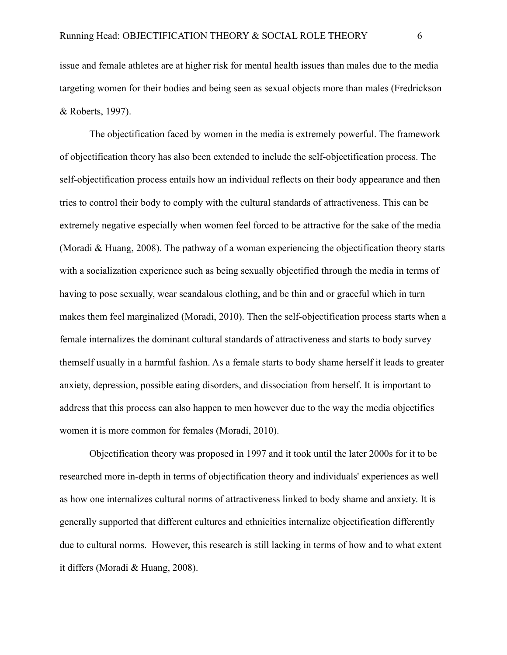issue and female athletes are at higher risk for mental health issues than males due to the media targeting women for their bodies and being seen as sexual objects more than males (Fredrickson & Roberts, 1997).

The objectification faced by women in the media is extremely powerful. The framework of objectification theory has also been extended to include the self-objectification process. The self-objectification process entails how an individual reflects on their body appearance and then tries to control their body to comply with the cultural standards of attractiveness. This can be extremely negative especially when women feel forced to be attractive for the sake of the media (Moradi & Huang, 2008). The pathway of a woman experiencing the objectification theory starts with a socialization experience such as being sexually objectified through the media in terms of having to pose sexually, wear scandalous clothing, and be thin and or graceful which in turn makes them feel marginalized (Moradi, 2010). Then the self-objectification process starts when a female internalizes the dominant cultural standards of attractiveness and starts to body survey themself usually in a harmful fashion. As a female starts to body shame herself it leads to greater anxiety, depression, possible eating disorders, and dissociation from herself. It is important to address that this process can also happen to men however due to the way the media objectifies women it is more common for females (Moradi, 2010).

Objectification theory was proposed in 1997 and it took until the later 2000s for it to be researched more in-depth in terms of objectification theory and individuals' experiences as well as how one internalizes cultural norms of attractiveness linked to body shame and anxiety. It is generally supported that different cultures and ethnicities internalize objectification differently due to cultural norms. However, this research is still lacking in terms of how and to what extent it differs (Moradi & Huang, 2008).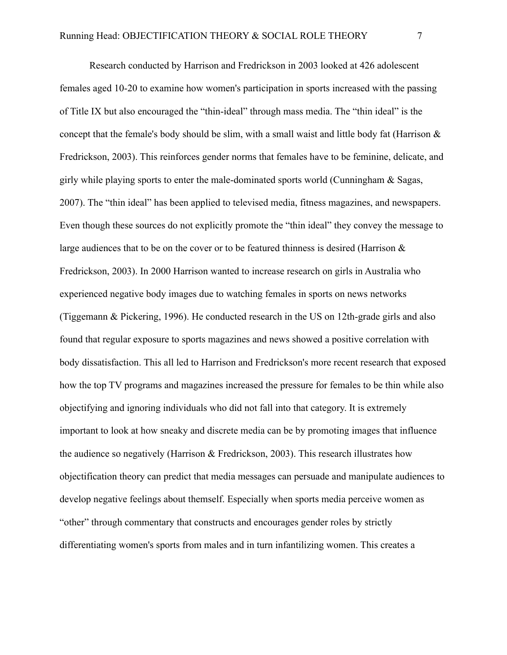Research conducted by Harrison and Fredrickson in 2003 looked at 426 adolescent females aged 10-20 to examine how women's participation in sports increased with the passing of Title IX but also encouraged the "thin-ideal" through mass media. The "thin ideal" is the concept that the female's body should be slim, with a small waist and little body fat (Harrison & Fredrickson, 2003). This reinforces gender norms that females have to be feminine, delicate, and girly while playing sports to enter the male-dominated sports world (Cunningham & Sagas, 2007). The "thin ideal" has been applied to televised media, fitness magazines, and newspapers. Even though these sources do not explicitly promote the "thin ideal" they convey the message to large audiences that to be on the cover or to be featured thinness is desired (Harrison & Fredrickson, 2003). In 2000 Harrison wanted to increase research on girls in Australia who experienced negative body images due to watching females in sports on news networks (Tiggemann & Pickering, 1996). He conducted research in the US on 12th-grade girls and also found that regular exposure to sports magazines and news showed a positive correlation with body dissatisfaction. This all led to Harrison and Fredrickson's more recent research that exposed how the top TV programs and magazines increased the pressure for females to be thin while also objectifying and ignoring individuals who did not fall into that category. It is extremely important to look at how sneaky and discrete media can be by promoting images that influence the audience so negatively (Harrison & Fredrickson, 2003). This research illustrates how objectification theory can predict that media messages can persuade and manipulate audiences to develop negative feelings about themself. Especially when sports media perceive women as "other" through commentary that constructs and encourages gender roles by strictly differentiating women's sports from males and in turn infantilizing women. This creates a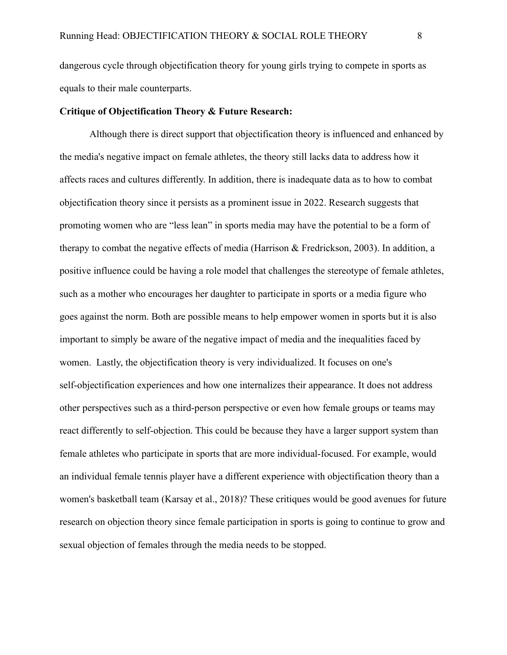dangerous cycle through objectification theory for young girls trying to compete in sports as equals to their male counterparts.

# **Critique of Objectification Theory & Future Research:**

Although there is direct support that objectification theory is influenced and enhanced by the media's negative impact on female athletes, the theory still lacks data to address how it affects races and cultures differently. In addition, there is inadequate data as to how to combat objectification theory since it persists as a prominent issue in 2022. Research suggests that promoting women who are "less lean" in sports media may have the potential to be a form of therapy to combat the negative effects of media (Harrison & Fredrickson, 2003). In addition, a positive influence could be having a role model that challenges the stereotype of female athletes, such as a mother who encourages her daughter to participate in sports or a media figure who goes against the norm. Both are possible means to help empower women in sports but it is also important to simply be aware of the negative impact of media and the inequalities faced by women. Lastly, the objectification theory is very individualized. It focuses on one's self-objectification experiences and how one internalizes their appearance. It does not address other perspectives such as a third-person perspective or even how female groups or teams may react differently to self-objection. This could be because they have a larger support system than female athletes who participate in sports that are more individual-focused. For example, would an individual female tennis player have a different experience with objectification theory than a women's basketball team (Karsay et al., 2018)? These critiques would be good avenues for future research on objection theory since female participation in sports is going to continue to grow and sexual objection of females through the media needs to be stopped.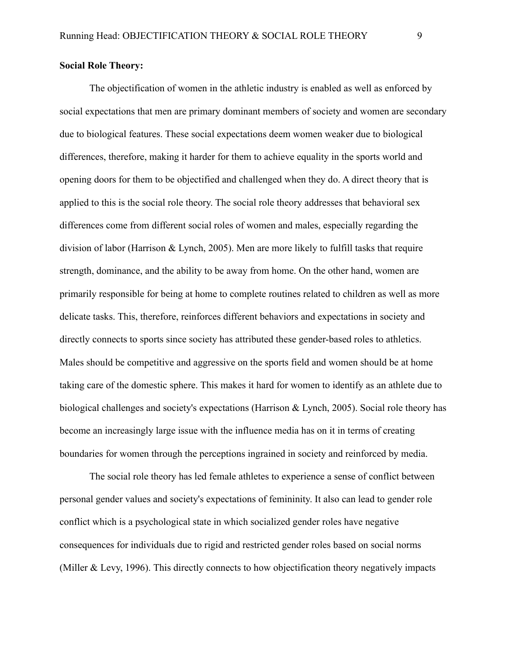#### **Social Role Theory:**

The objectification of women in the athletic industry is enabled as well as enforced by social expectations that men are primary dominant members of society and women are secondary due to biological features. These social expectations deem women weaker due to biological differences, therefore, making it harder for them to achieve equality in the sports world and opening doors for them to be objectified and challenged when they do. A direct theory that is applied to this is the social role theory. The social role theory addresses that behavioral sex differences come from different social roles of women and males, especially regarding the division of labor (Harrison & Lynch, 2005). Men are more likely to fulfill tasks that require strength, dominance, and the ability to be away from home. On the other hand, women are primarily responsible for being at home to complete routines related to children as well as more delicate tasks. This, therefore, reinforces different behaviors and expectations in society and directly connects to sports since society has attributed these gender-based roles to athletics. Males should be competitive and aggressive on the sports field and women should be at home taking care of the domestic sphere. This makes it hard for women to identify as an athlete due to biological challenges and society's expectations (Harrison & Lynch, 2005). Social role theory has become an increasingly large issue with the influence media has on it in terms of creating boundaries for women through the perceptions ingrained in society and reinforced by media.

The social role theory has led female athletes to experience a sense of conflict between personal gender values and society's expectations of femininity. It also can lead to gender role conflict which is a psychological state in which socialized gender roles have negative consequences for individuals due to rigid and restricted gender roles based on social norms (Miller & Levy, 1996). This directly connects to how objectification theory negatively impacts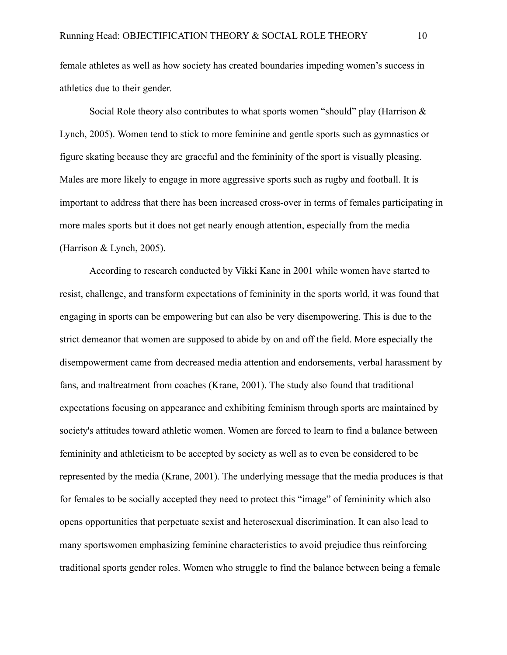female athletes as well as how society has created boundaries impeding women's success in athletics due to their gender.

Social Role theory also contributes to what sports women "should" play (Harrison  $\&$ Lynch, 2005). Women tend to stick to more feminine and gentle sports such as gymnastics or figure skating because they are graceful and the femininity of the sport is visually pleasing. Males are more likely to engage in more aggressive sports such as rugby and football. It is important to address that there has been increased cross-over in terms of females participating in more males sports but it does not get nearly enough attention, especially from the media (Harrison & Lynch, 2005).

According to research conducted by Vikki Kane in 2001 while women have started to resist, challenge, and transform expectations of femininity in the sports world, it was found that engaging in sports can be empowering but can also be very disempowering. This is due to the strict demeanor that women are supposed to abide by on and off the field. More especially the disempowerment came from decreased media attention and endorsements, verbal harassment by fans, and maltreatment from coaches (Krane, 2001). The study also found that traditional expectations focusing on appearance and exhibiting feminism through sports are maintained by society's attitudes toward athletic women. Women are forced to learn to find a balance between femininity and athleticism to be accepted by society as well as to even be considered to be represented by the media (Krane, 2001). The underlying message that the media produces is that for females to be socially accepted they need to protect this "image" of femininity which also opens opportunities that perpetuate sexist and heterosexual discrimination. It can also lead to many sportswomen emphasizing feminine characteristics to avoid prejudice thus reinforcing traditional sports gender roles. Women who struggle to find the balance between being a female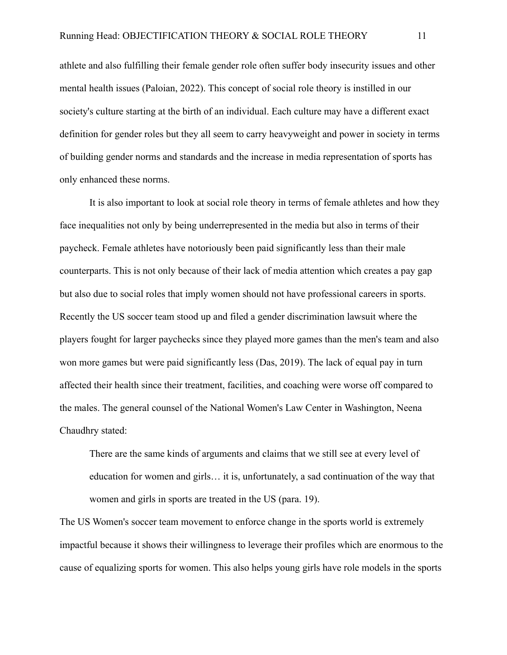athlete and also fulfilling their female gender role often suffer body insecurity issues and other mental health issues (Paloian, 2022). This concept of social role theory is instilled in our society's culture starting at the birth of an individual. Each culture may have a different exact definition for gender roles but they all seem to carry heavyweight and power in society in terms of building gender norms and standards and the increase in media representation of sports has only enhanced these norms.

It is also important to look at social role theory in terms of female athletes and how they face inequalities not only by being underrepresented in the media but also in terms of their paycheck. Female athletes have notoriously been paid significantly less than their male counterparts. This is not only because of their lack of media attention which creates a pay gap but also due to social roles that imply women should not have professional careers in sports. Recently the US soccer team stood up and filed a gender discrimination lawsuit where the players fought for larger paychecks since they played more games than the men's team and also won more games but were paid significantly less (Das, 2019). The lack of equal pay in turn affected their health since their treatment, facilities, and coaching were worse off compared to the males. The general counsel of the National Women's Law Center in Washington, Neena Chaudhry stated:

There are the same kinds of arguments and claims that we still see at every level of education for women and girls… it is, unfortunately, a sad continuation of the way that women and girls in sports are treated in the US (para. 19).

The US Women's soccer team movement to enforce change in the sports world is extremely impactful because it shows their willingness to leverage their profiles which are enormous to the cause of equalizing sports for women. This also helps young girls have role models in the sports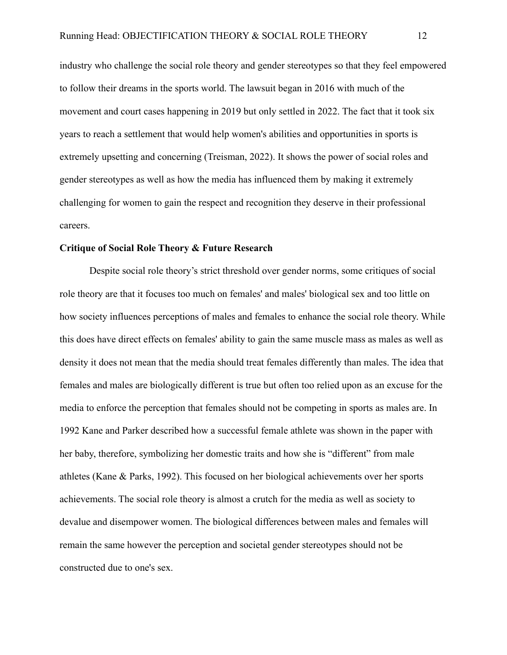industry who challenge the social role theory and gender stereotypes so that they feel empowered to follow their dreams in the sports world. The lawsuit began in 2016 with much of the movement and court cases happening in 2019 but only settled in 2022. The fact that it took six years to reach a settlement that would help women's abilities and opportunities in sports is extremely upsetting and concerning (Treisman, 2022). It shows the power of social roles and gender stereotypes as well as how the media has influenced them by making it extremely challenging for women to gain the respect and recognition they deserve in their professional careers.

#### **Critique of Social Role Theory & Future Research**

Despite social role theory's strict threshold over gender norms, some critiques of social role theory are that it focuses too much on females' and males' biological sex and too little on how society influences perceptions of males and females to enhance the social role theory. While this does have direct effects on females' ability to gain the same muscle mass as males as well as density it does not mean that the media should treat females differently than males. The idea that females and males are biologically different is true but often too relied upon as an excuse for the media to enforce the perception that females should not be competing in sports as males are. In 1992 Kane and Parker described how a successful female athlete was shown in the paper with her baby, therefore, symbolizing her domestic traits and how she is "different" from male athletes (Kane & Parks, 1992). This focused on her biological achievements over her sports achievements. The social role theory is almost a crutch for the media as well as society to devalue and disempower women. The biological differences between males and females will remain the same however the perception and societal gender stereotypes should not be constructed due to one's sex.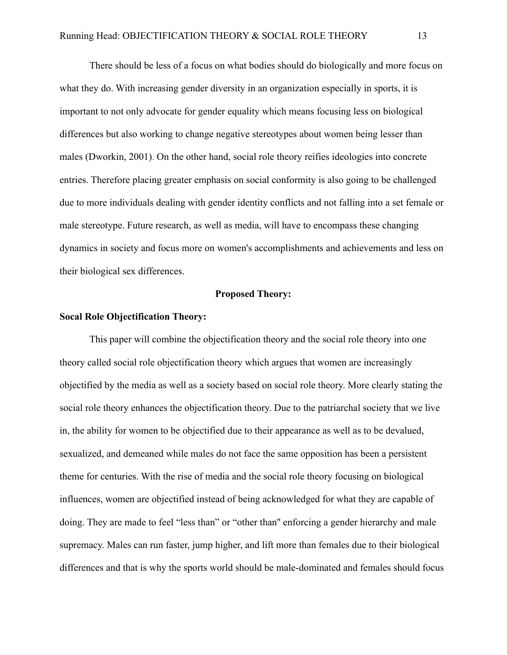There should be less of a focus on what bodies should do biologically and more focus on what they do. With increasing gender diversity in an organization especially in sports, it is important to not only advocate for gender equality which means focusing less on biological differences but also working to change negative stereotypes about women being lesser than males (Dworkin, 2001). On the other hand, social role theory reifies ideologies into concrete entries. Therefore placing greater emphasis on social conformity is also going to be challenged due to more individuals dealing with gender identity conflicts and not falling into a set female or male stereotype. Future research, as well as media, will have to encompass these changing dynamics in society and focus more on women's accomplishments and achievements and less on their biological sex differences.

#### **Proposed Theory:**

#### **Socal Role Objectification Theory:**

This paper will combine the objectification theory and the social role theory into one theory called social role objectification theory which argues that women are increasingly objectified by the media as well as a society based on social role theory. More clearly stating the social role theory enhances the objectification theory. Due to the patriarchal society that we live in, the ability for women to be objectified due to their appearance as well as to be devalued, sexualized, and demeaned while males do not face the same opposition has been a persistent theme for centuries. With the rise of media and the social role theory focusing on biological influences, women are objectified instead of being acknowledged for what they are capable of doing. They are made to feel "less than" or "other than'' enforcing a gender hierarchy and male supremacy. Males can run faster, jump higher, and lift more than females due to their biological differences and that is why the sports world should be male-dominated and females should focus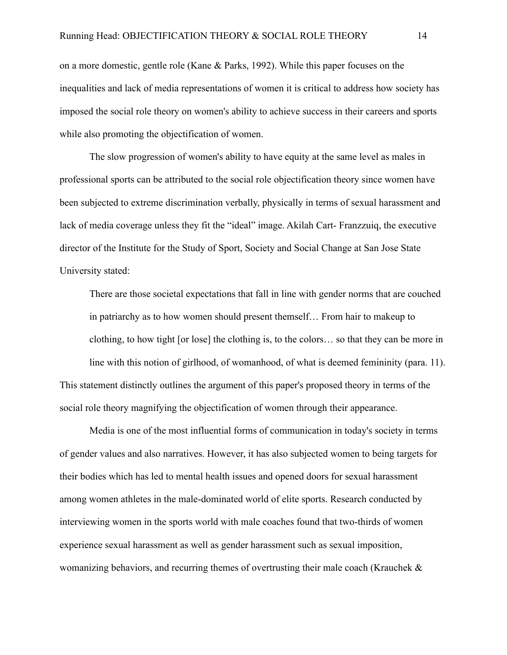on a more domestic, gentle role (Kane & Parks, 1992). While this paper focuses on the inequalities and lack of media representations of women it is critical to address how society has imposed the social role theory on women's ability to achieve success in their careers and sports while also promoting the objectification of women.

The slow progression of women's ability to have equity at the same level as males in professional sports can be attributed to the social role objectification theory since women have been subjected to extreme discrimination verbally, physically in terms of sexual harassment and lack of media coverage unless they fit the "ideal" image. Akilah Cart- Franzzuiq, the executive director of the Institute for the Study of Sport, Society and Social Change at San Jose State University stated:

There are those societal expectations that fall in line with gender norms that are couched in patriarchy as to how women should present themself… From hair to makeup to clothing, to how tight [or lose] the clothing is, to the colors… so that they can be more in line with this notion of girlhood, of womanhood, of what is deemed femininity (para. 11). This statement distinctly outlines the argument of this paper's proposed theory in terms of the social role theory magnifying the objectification of women through their appearance.

Media is one of the most influential forms of communication in today's society in terms of gender values and also narratives. However, it has also subjected women to being targets for their bodies which has led to mental health issues and opened doors for sexual harassment among women athletes in the male-dominated world of elite sports. Research conducted by interviewing women in the sports world with male coaches found that two-thirds of women experience sexual harassment as well as gender harassment such as sexual imposition, womanizing behaviors, and recurring themes of overtrusting their male coach (Krauchek &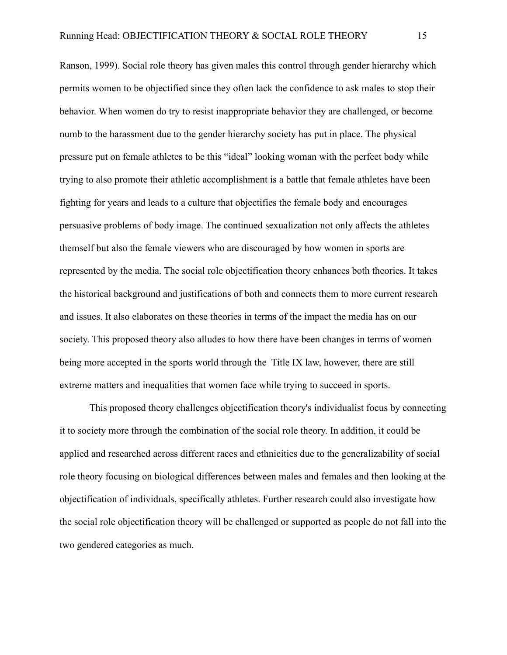Ranson, 1999). Social role theory has given males this control through gender hierarchy which permits women to be objectified since they often lack the confidence to ask males to stop their behavior. When women do try to resist inappropriate behavior they are challenged, or become numb to the harassment due to the gender hierarchy society has put in place. The physical pressure put on female athletes to be this "ideal" looking woman with the perfect body while trying to also promote their athletic accomplishment is a battle that female athletes have been fighting for years and leads to a culture that objectifies the female body and encourages persuasive problems of body image. The continued sexualization not only affects the athletes themself but also the female viewers who are discouraged by how women in sports are represented by the media. The social role objectification theory enhances both theories. It takes the historical background and justifications of both and connects them to more current research and issues. It also elaborates on these theories in terms of the impact the media has on our society. This proposed theory also alludes to how there have been changes in terms of women being more accepted in the sports world through the Title IX law, however, there are still extreme matters and inequalities that women face while trying to succeed in sports.

This proposed theory challenges objectification theory's individualist focus by connecting it to society more through the combination of the social role theory. In addition, it could be applied and researched across different races and ethnicities due to the generalizability of social role theory focusing on biological differences between males and females and then looking at the objectification of individuals, specifically athletes. Further research could also investigate how the social role objectification theory will be challenged or supported as people do not fall into the two gendered categories as much.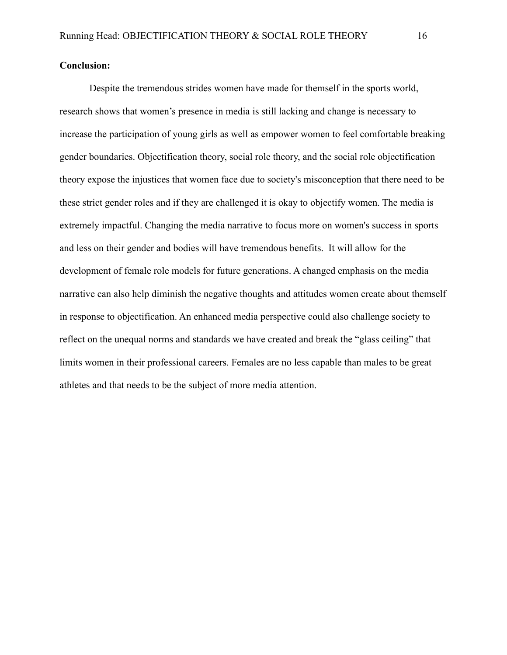# **Conclusion:**

Despite the tremendous strides women have made for themself in the sports world, research shows that women's presence in media is still lacking and change is necessary to increase the participation of young girls as well as empower women to feel comfortable breaking gender boundaries. Objectification theory, social role theory, and the social role objectification theory expose the injustices that women face due to society's misconception that there need to be these strict gender roles and if they are challenged it is okay to objectify women. The media is extremely impactful. Changing the media narrative to focus more on women's success in sports and less on their gender and bodies will have tremendous benefits. It will allow for the development of female role models for future generations. A changed emphasis on the media narrative can also help diminish the negative thoughts and attitudes women create about themself in response to objectification. An enhanced media perspective could also challenge society to reflect on the unequal norms and standards we have created and break the "glass ceiling" that limits women in their professional careers. Females are no less capable than males to be great athletes and that needs to be the subject of more media attention.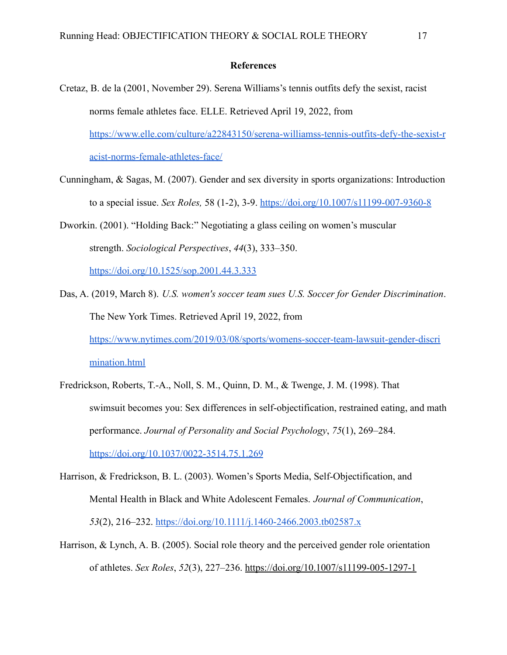#### **References**

- Cretaz, B. de la (2001, November 29). Serena Williams's tennis outfits defy the sexist, racist norms female athletes face. ELLE. Retrieved April 19, 2022, from [https://www.elle.com/culture/a22843150/serena-williamss-tennis-outfits-defy-the-sexist-r](https://www.elle.com/culture/a22843150/serena-williamss-tennis-outfits-defy-the-sexist-racist-norms-female-athletes-face/) [acist-norms-female-athletes-face/](https://www.elle.com/culture/a22843150/serena-williamss-tennis-outfits-defy-the-sexist-racist-norms-female-athletes-face/)
- Cunningham, & Sagas, M. (2007). Gender and sex diversity in sports organizations: Introduction to a special issue. *Sex Roles,* 58 (1-2), 3-9. <https://doi.org/10.1007/s11199-007-9360-8>
- Dworkin. (2001). "Holding Back:" Negotiating a glass ceiling on women's muscular strength. *Sociological Perspectives*, *44*(3), 333–350.

<https://doi.org/10.1525/sop.2001.44.3.333>

- Das, A. (2019, March 8). *U.S. women's soccer team sues U.S. Soccer for Gender Discrimination*. The New York Times. Retrieved April 19, 2022, from [https://www.nytimes.com/2019/03/08/sports/womens-soccer-team-lawsuit-gender-discri](https://www.nytimes.com/2019/03/08/sports/womens-soccer-team-lawsuit-gender-discrimination.html) [mination.html](https://www.nytimes.com/2019/03/08/sports/womens-soccer-team-lawsuit-gender-discrimination.html)
- Fredrickson, Roberts, T.-A., Noll, S. M., Quinn, D. M., & Twenge, J. M. (1998). That swimsuit becomes you: Sex differences in self-objectification, restrained eating, and math performance. *Journal of Personality and Social Psychology*, *75*(1), 269–284. <https://doi.org/10.1037/0022-3514.75.1.269>
- Harrison, & Fredrickson, B. L. (2003). Women's Sports Media, Self-Objectification, and Mental Health in Black and White Adolescent Females. *Journal of Communication*, *53*(2), 216–232. <https://doi.org/10.1111/j.1460-2466.2003.tb02587.x>
- Harrison, & Lynch, A. B. (2005). Social role theory and the perceived gender role orientation of athletes. *Sex Roles*, *52*(3), 227–236. <https://doi.org/10.1007/s11199-005-1297-1>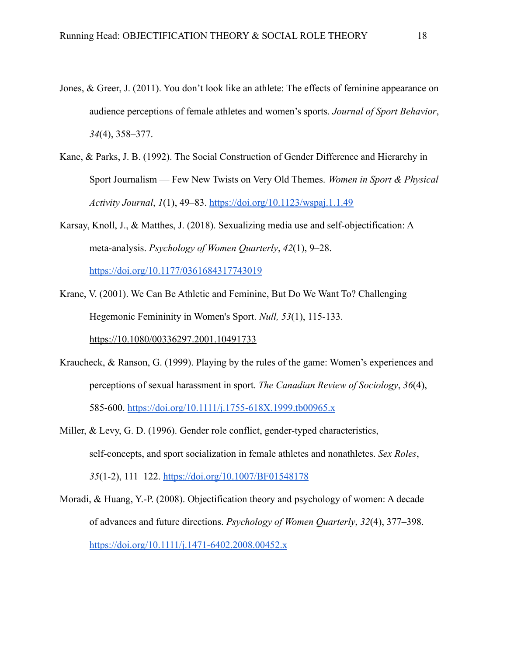- Jones, & Greer, J. (2011). You don't look like an athlete: The effects of feminine appearance on audience perceptions of female athletes and women's sports. *Journal of Sport Behavior*, *34*(4), 358–377.
- Kane, & Parks, J. B. (1992). The Social Construction of Gender Difference and Hierarchy in Sport Journalism — Few New Twists on Very Old Themes. *Women in Sport & Physical Activity Journal*, *1*(1), 49–83. <https://doi.org/10.1123/wspaj.1.1.49>
- Karsay, Knoll, J., & Matthes, J. (2018). Sexualizing media use and self-objectification: A meta-analysis. *Psychology of Women Quarterly*, *42*(1), 9–28.

<https://doi.org/10.1177/0361684317743019>

Krane, V. (2001). We Can Be Athletic and Feminine, But Do We Want To? Challenging Hegemonic Femininity in Women's Sport. *Null, 53*(1), 115-133.

https://10.1080/00336297.2001.10491733

- Kraucheck, & Ranson, G. (1999). Playing by the rules of the game: Women's experiences and perceptions of sexual harassment in sport. *The Canadian Review of Sociology*, *36*(4), 585-600. <https://doi.org/10.1111/j.1755-618X.1999.tb00965.x>
- Miller, & Levy, G. D. (1996). Gender role conflict, gender-typed characteristics, self-concepts, and sport socialization in female athletes and nonathletes. *Sex Roles*, *35*(1-2), 111–122. <https://doi.org/10.1007/BF01548178>
- Moradi, & Huang, Y.-P. (2008). Objectification theory and psychology of women: A decade of advances and future directions. *Psychology of Women Quarterly*, *32*(4), 377–398. <https://doi.org/10.1111/j.1471-6402.2008.00452.x>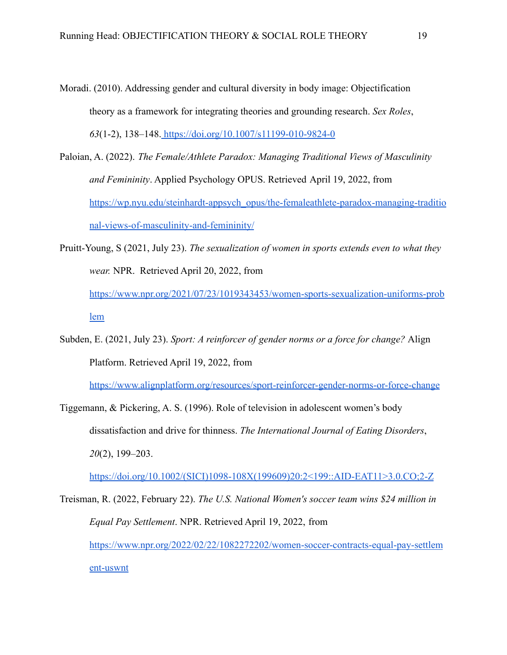- Moradi. (2010). Addressing gender and cultural diversity in body image: Objectification theory as a framework for integrating theories and grounding research. *Sex Roles*, *63*(1-2), 138–148. <https://doi.org/10.1007/s11199-010-9824-0>
- Paloian, A. (2022). *The Female/Athlete Paradox: Managing Traditional Views of Masculinity and Femininity*. Applied Psychology OPUS. Retrieved April 19, 2022, from [https://wp.nyu.edu/steinhardt-appsych\\_opus/the-femaleathlete-paradox-managing-traditio](https://wp.nyu.edu/steinhardt-appsych_opus/the-femaleathlete-paradox-managing-traditional-views-of-masculinity-and-femininity/) [nal-views-of-masculinity-and-femininity/](https://wp.nyu.edu/steinhardt-appsych_opus/the-femaleathlete-paradox-managing-traditional-views-of-masculinity-and-femininity/)
- Pruitt-Young, S (2021, July 23). *The sexualization of women in sports extends even to what they wear.* NPR. Retrieved April 20, 2022, from [https://www.npr.org/2021/07/23/1019343453/women-sports-sexualization-uniforms-prob](https://www.npr.org/2021/07/23/1019343453/women-sports-sexualization-uniforms-problem) [lem](https://www.npr.org/2021/07/23/1019343453/women-sports-sexualization-uniforms-problem)
- Subden, E. (2021, July 23). *Sport: A reinforcer of gender norms or a force for change?* Align Platform. Retrieved April 19, 2022, from

<https://www.alignplatform.org/resources/sport-reinforcer-gender-norms-or-force-change>

Tiggemann, & Pickering, A. S. (1996). Role of television in adolescent women's body dissatisfaction and drive for thinness. *The International Journal of Eating Disorders*, *20*(2), 199–203.

[https://doi.org/10.1002/\(SICI\)1098-108X\(199609\)20:2<199::AID-EAT11>3.0.CO;2-Z](https://doi.org/10.1002/(SICI)1098-108X(199609)20:2)

Treisman, R. (2022, February 22). *The U.S. National Women's soccer team wins \$24 million in Equal Pay Settlement*. NPR. Retrieved April 19, 2022, from [https://www.npr.org/2022/02/22/1082272202/women-soccer-contracts-equal-pay-settlem](https://www.npr.org/2022/02/22/1082272202/women-soccer-contracts-equal-pay-settlement-uswnt) [ent-uswnt](https://www.npr.org/2022/02/22/1082272202/women-soccer-contracts-equal-pay-settlement-uswnt)